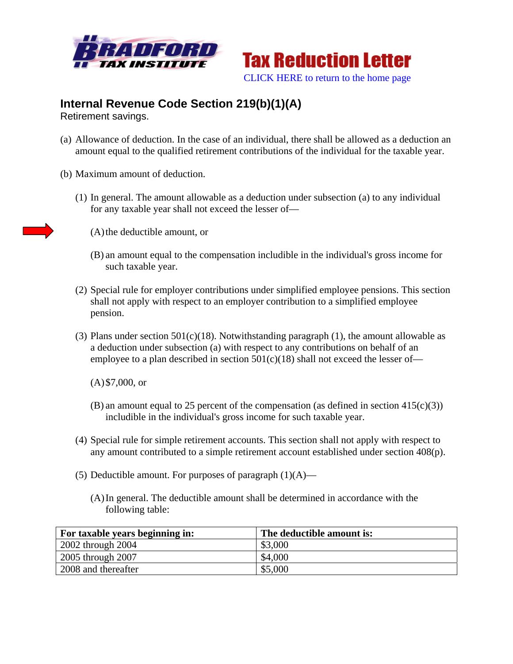



## **Internal Revenue Code Section 219(b)(1)(A)**

Retirement savings.

- (a) Allowance of deduction. In the case of an individual, there shall be allowed as a deduction an amount equal to the qualified retirement contributions of the individual for the taxable year.
- (b) Maximum amount of deduction.
	- (1) In general. The amount allowable as a deduction under subsection (a) to any individual for any taxable year shall not exceed the lesser of—



(A)the deductible amount, or

- (B) an amount equal to the compensation includible in the individual's gross income for such taxable year.
- (2) Special rule for employer contributions under simplified employee pensions. This section shall not apply with respect to an employer contribution to a simplified employee pension.
- (3) Plans under section  $501(c)(18)$ . Notwithstanding paragraph (1), the amount allowable as a deduction under subsection (a) with respect to any contributions on behalf of an employee to a plan described in section  $501(c)(18)$  shall not exceed the lesser of—

(A)\$7,000, or

- (B) an amount equal to 25 percent of the compensation (as defined in section  $415(c)(3)$ ) includible in the individual's gross income for such taxable year.
- (4) Special rule for simple retirement accounts. This section shall not apply with respect to any amount contributed to a simple retirement account established under section 408(p).
- (5) Deductible amount. For purposes of paragraph  $(1)(A)$ 
	- (A)In general. The deductible amount shall be determined in accordance with the following table:

| For taxable years beginning in: | The deductible amount is: |
|---------------------------------|---------------------------|
| 2002 through 2004               | \$3,000                   |
| 2005 through 2007               | \$4,000                   |
| 2008 and thereafter             | \$5,000                   |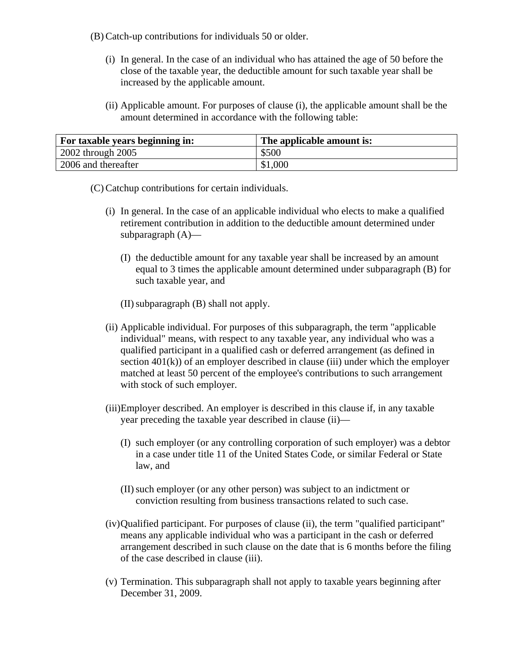- (B) Catch-up contributions for individuals 50 or older.
	- (i) In general. In the case of an individual who has attained the age of 50 before the close of the taxable year, the deductible amount for such taxable year shall be increased by the applicable amount.
	- (ii) Applicable amount. For purposes of clause (i), the applicable amount shall be the amount determined in accordance with the following table:

| <b>For taxable years beginning in:</b> | The applicable amount is: |
|----------------------------------------|---------------------------|
| $\vert$ 2002 through 2005              | \$500                     |
| 2006 and thereafter                    | \$1,000                   |

- (C) Catchup contributions for certain individuals.
	- (i) In general. In the case of an applicable individual who elects to make a qualified retirement contribution in addition to the deductible amount determined under subparagraph (A)—
		- (I) the deductible amount for any taxable year shall be increased by an amount equal to 3 times the applicable amount determined under subparagraph (B) for such taxable year, and
		- (II)subparagraph (B) shall not apply.
	- (ii) Applicable individual. For purposes of this subparagraph, the term "applicable individual" means, with respect to any taxable year, any individual who was a qualified participant in a qualified cash or deferred arrangement (as defined in section  $401(k)$ ) of an employer described in clause (iii) under which the employer matched at least 50 percent of the employee's contributions to such arrangement with stock of such employer.
	- (iii)Employer described. An employer is described in this clause if, in any taxable year preceding the taxable year described in clause (ii)—
		- (I) such employer (or any controlling corporation of such employer) was a debtor in a case under title 11 of the United States Code, or similar Federal or State law, and
		- (II)such employer (or any other person) was subject to an indictment or conviction resulting from business transactions related to such case.
	- (iv)Qualified participant. For purposes of clause (ii), the term "qualified participant" means any applicable individual who was a participant in the cash or deferred arrangement described in such clause on the date that is 6 months before the filing of the case described in clause (iii).
	- (v) Termination. This subparagraph shall not apply to taxable years beginning after December 31, 2009.